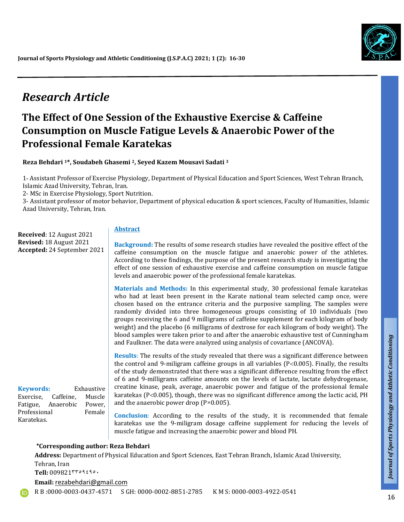

# *Research Article*

# **The Effect of One Session of the Exhaustive Exercise & Caffeine Consumption on Muscle Fatigue Levels & Anaerobic Power of the Professional Female Karatekas**

**Reza Behdari 1\*, Soudabeh Ghasemi 2, Seyed Kazem Mousavi Sadati <sup>3</sup>**

1- Assistant Professor of Exercise Physiology, Department of Physical Education and Sport Sciences, West Tehran Branch, Islamic Azad University, Tehran, Iran.

2- MSc in Exercise Physiology, Sport Nutrition.

3- Assistant professor of motor behavior, Department of physical education & sport sciences, Faculty of Humanities, Islamic Azad University, Tehran, Iran.

**Received**: 12 August 2021 **Revised:** 18 August 2021 **Accepted:** 24 September 2021

**Keywords:** Exhaustive Exercise, Caffeine, Muscle Fatigue, Anaerobic Power, Professional Female

Karatekas.

#### **Abstract**

**Background:** The results of some research studies have revealed the positive effect of the caffeine consumption on the muscle fatigue and anaerobic power of the athletes. According to these findings, the purpose of the present research study is investigating the effect of one session of exhaustive exercise and caffeine consumption on muscle fatigue levels and anaerobic power of the professional female karatekas.

**Materials and Methods:** In this experimental study, 30 professional female karatekas who had at least been present in the Karate national team selected camp once, were chosen based on the entrance criteria and the purposive sampling. The samples were randomly divided into three homogeneous groups consisting of 10 individuals (two groups receiving the 6 and 9 milligrams of caffeine supplement for each kilogram of body weight) and the placebo (6 milligrams of dextrose for each kilogram of body weight). The blood samples were taken prior to and after the anaerobic exhaustive test of Cunningham and Faulkner. The data were analyzed using analysis of covariance (ANCOVA).

**Results**: The results of the study revealed that there was a significant difference between the control and 9-miligram caffeine groups in all variables  $(P<0.005)$ . Finally, the results of the study demonstrated that there was a significant difference resulting from the effect of 6 and 9-milligrams caffeine amounts on the levels of lactate, lactate dehydrogenase, creatine kinase, peak, average, anaerobic power and fatigue of the professional female karatekas ( $P < 0.005$ ), though, there was no significant difference among the lactic acid, PH and the anaerobic power drop ( $P \times 0.005$ ).

**Conclusion**: According to the results of the study, it is recommended that female karatekas use the 9-miligram dosage caffeine supplement for reducing the levels of muscle fatigue and increasing the anaerobic power and blood PH.

#### **\*Corresponding author: Reza Behdari**

**Address:** Department of Physical Education and Sport Sciences, East Tehran Branch, Islamic Azad University, Tehran, Iran Tell: 009821٣٣٥٩٤٩٥٠ **Email:** rezabehdari@gmail.com

R B :0000-0003-0437-4571 S GH: 0000-0002-8851-2785 K M S: 0000-0003-4922-0541

 $\mathsf{r}$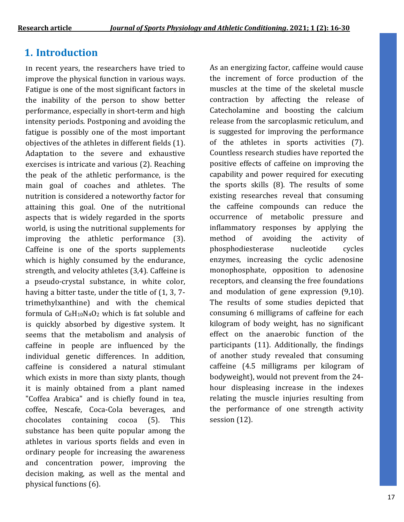## **1. Introduction**

In recent years, the researchers have tried to improve the physical function in various ways. Fatigue is one of the most significant factors in the inability of the person to show better performance, especially in short-term and high intensity periods. Postponing and avoiding the fatigue is possibly one of the most important objectives of the athletes in different fields (1). Adaptation to the severe and exhaustive exercises is intricate and various (2). Reaching the peak of the athletic performance, is the main goal of coaches and athletes. The nutrition is considered a noteworthy factor for attaining this goal. One of the nutritional aspects that is widely regarded in the sports world, is using the nutritional supplements for improving the athletic performance (3). Caffeine is one of the sports supplements which is highly consumed by the endurance, strength, and velocity athletes (3,4). Caffeine is a pseudo-crystal substance, in white color, having a bitter taste, under the title of (1, 3, 7 trimethylxanthine) and with the chemical formula of  $C_8H_{10}N_4O_2$  which is fat soluble and is quickly absorbed by digestive system. It seems that the metabolism and analysis of caffeine in people are influenced by the individual genetic differences. In addition, caffeine is considered a natural stimulant which exists in more than sixty plants, though it is mainly obtained from a plant named "Coffea Arabica" and is chiefly found in tea, coffee, Nescafe, Coca-Cola beverages, and chocolates containing cocoa (5). This substance has been quite popular among the athletes in various sports fields and even in ordinary people for increasing the awareness and concentration power, improving the decision making, as well as the mental and physical functions (6).

As an energizing factor, caffeine would cause the increment of force production of the muscles at the time of the skeletal muscle contraction by affecting the release of Catecholamine and boosting the calcium release from the sarcoplasmic reticulum, and is suggested for improving the performance of the athletes in sports activities (7). Countless research studies have reported the positive effects of caffeine on improving the capability and power required for executing the sports skills (8). The results of some existing researches reveal that consuming the caffeine compounds can reduce the occurrence of metabolic pressure and inflammatory responses by applying the method of avoiding the activity of phosphodiesterase nucleotide cycles enzymes, increasing the cyclic adenosine monophosphate, opposition to adenosine receptors, and cleansing the free foundations and modulation of gene expression (9,10). The results of some studies depicted that consuming 6 milligrams of caffeine for each kilogram of body weight, has no significant effect on the anaerobic function of the participants (11). Additionally, the findings of another study revealed that consuming caffeine (4.5 milligrams per kilogram of bodyweight), would not prevent from the 24 hour displeasing increase in the indexes relating the muscle injuries resulting from the performance of one strength activity session (12).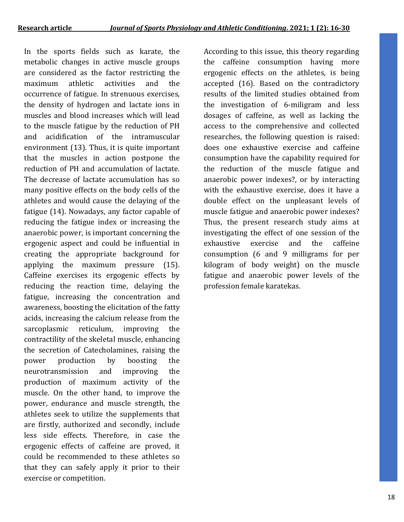In the sports fields such as karate, the metabolic changes in active muscle groups are considered as the factor restricting the maximum athletic activities and the occurrence of fatigue. In strenuous exercises, the density of hydrogen and lactate ions in muscles and blood increases which will lead to the muscle fatigue by the reduction of PH and acidification of the intramuscular environment (13). Thus, it is quite important that the muscles in action postpone the reduction of PH and accumulation of lactate. The decrease of lactate accumulation has so many positive effects on the body cells of the athletes and would cause the delaying of the fatigue (14). Nowadays, any factor capable of reducing the fatigue index or increasing the anaerobic power, is important concerning the ergogenic aspect and could be influential in creating the appropriate background for applying the maximum pressure (15). Caffeine exercises its ergogenic effects by reducing the reaction time, delaying the fatigue, increasing the concentration and awareness, boosting the elicitation of the fatty acids, increasing the calcium release from the sarcoplasmic reticulum, improving the contractility of the skeletal muscle, enhancing the secretion of Catecholamines, raising the power production by boosting the neurotransmission and improving the production of maximum activity of the muscle. On the other hand, to improve the power, endurance and muscle strength, the athletes seek to utilize the supplements that are firstly, authorized and secondly, include less side effects. Therefore, in case the ergogenic effects of caffeine are proved, it could be recommended to these athletes so that they can safely apply it prior to their exercise or competition.

According to this issue, this theory regarding the caffeine consumption having more ergogenic effects on the athletes, is being accepted (16). Based on the contradictory results of the limited studies obtained from the investigation of 6-miligram and less dosages of caffeine, as well as lacking the access to the comprehensive and collected researches, the following question is raised: does one exhaustive exercise and caffeine consumption have the capability required for the reduction of the muscle fatigue and anaerobic power indexes?, or by interacting with the exhaustive exercise, does it have a double effect on the unpleasant levels of muscle fatigue and anaerobic power indexes? Thus, the present research study aims at investigating the effect of one session of the exhaustive exercise and the caffeine consumption (6 and 9 milligrams for per kilogram of body weight) on the muscle fatigue and anaerobic power levels of the profession female karatekas.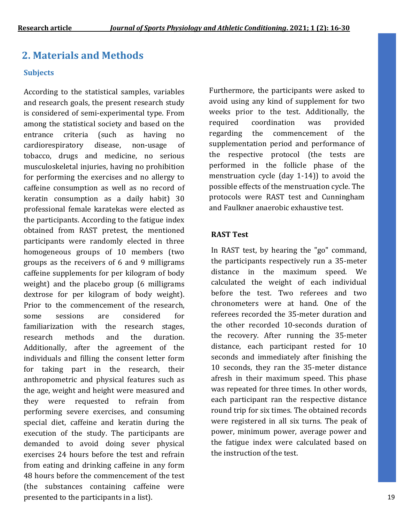## **2. Materials and Methods**

#### **Subjects**

According to the statistical samples, variables and research goals, the present research study is considered of semi-experimental type. From among the statistical society and based on the entrance criteria (such as having no cardiorespiratory disease, non-usage of tobacco, drugs and medicine, no serious musculoskeletal injuries, having no prohibition for performing the exercises and no allergy to caffeine consumption as well as no record of keratin consumption as a daily habit) 30 professional female karatekas were elected as the participants. According to the fatigue index obtained from RAST pretest, the mentioned participants were randomly elected in three homogeneous groups of 10 members (two groups as the receivers of 6 and 9 milligrams caffeine supplements for per kilogram of body weight) and the placebo group (6 milligrams dextrose for per kilogram of body weight). Prior to the commencement of the research, some sessions are considered for familiarization with the research stages, research methods and the duration. Additionally, after the agreement of the individuals and filling the consent letter form for taking part in the research, their anthropometric and physical features such as the age, weight and height were measured and they were requested to refrain from performing severe exercises, and consuming special diet, caffeine and keratin during the execution of the study. The participants are demanded to avoid doing sever physical exercises 24 hours before the test and refrain from eating and drinking caffeine in any form 48 hours before the commencement of the test (the substances containing caffeine were presented to the participants in a list).

Furthermore, the participants were asked to avoid using any kind of supplement for two weeks prior to the test. Additionally, the required coordination was provided regarding the commencement of the supplementation period and performance of the respective protocol (the tests are performed in the follicle phase of the menstruation cycle (day 1-14)) to avoid the possible effects of the menstruation cycle. The protocols were RAST test and Cunningham and Faulkner anaerobic exhaustive test.

#### **RAST Test**

In RAST test, by hearing the "go" command, the participants respectively run a 35-meter distance in the maximum speed. We calculated the weight of each individual before the test. Two referees and two chronometers were at hand. One of the referees recorded the 35-meter duration and the other recorded 10-seconds duration of the recovery. After running the 35-meter distance, each participant rested for 10 seconds and immediately after finishing the 10 seconds, they ran the 35-meter distance afresh in their maximum speed. This phase was repeated for three times. In other words, each participant ran the respective distance round trip for six times. The obtained records were registered in all six turns. The peak of power, minimum power, average power and the fatigue index were calculated based on the instruction of the test.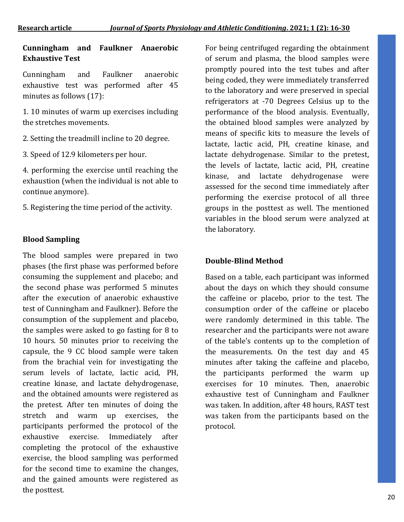#### **Cunningham and Faulkner Anaerobic Exhaustive Test**

Cunningham and Faulkner anaerobic exhaustive test was performed after 45 minutes as follows (17):

1. 10 minutes of warm up exercises including the stretches movements.

2. Setting the treadmill incline to 20 degree.

3. Speed of 12.9 kilometers per hour.

4. performing the exercise until reaching the exhaustion (when the individual is not able to continue anymore).

5. Registering the time period of the activity.

#### **Blood Sampling**

The blood samples were prepared in two phases (the first phase was performed before consuming the supplement and placebo; and the second phase was performed 5 minutes after the execution of anaerobic exhaustive test of Cunningham and Faulkner). Before the consumption of the supplement and placebo, the samples were asked to go fasting for 8 to 10 hours. 50 minutes prior to receiving the capsule, the 9 CC blood sample were taken from the brachial vein for investigating the serum levels of lactate, lactic acid, PH, creatine kinase, and lactate dehydrogenase, and the obtained amounts were registered as the pretest. After ten minutes of doing the stretch and warm up exercises, the participants performed the protocol of the exhaustive exercise. Immediately after completing the protocol of the exhaustive exercise, the blood sampling was performed for the second time to examine the changes, and the gained amounts were registered as the posttest.

For being centrifuged regarding the obtainment of serum and plasma, the blood samples were promptly poured into the test tubes and after being coded, they were immediately transferred to the laboratory and were preserved in special refrigerators at -70 Degrees Celsius up to the performance of the blood analysis. Eventually, the obtained blood samples were analyzed by means of specific kits to measure the levels of lactate, lactic acid, PH, creatine kinase, and lactate dehydrogenase. Similar to the pretest, the levels of lactate, lactic acid, PH, creatine kinase, and lactate dehydrogenase were assessed for the second time immediately after performing the exercise protocol of all three groups in the posttest as well. The mentioned variables in the blood serum were analyzed at the laboratory.

#### **Double-Blind Method**

Based on a table, each participant was informed about the days on which they should consume the caffeine or placebo, prior to the test. The consumption order of the caffeine or placebo were randomly determined in this table. The researcher and the participants were not aware of the table's contents up to the completion of the measurements. On the test day and 45 minutes after taking the caffeine and placebo, the participants performed the warm up exercises for 10 minutes. Then, anaerobic exhaustive test of Cunningham and Faulkner was taken. In addition, after 48 hours, RAST test was taken from the participants based on the protocol.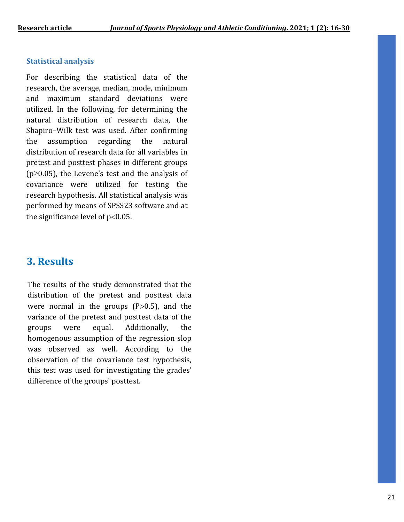#### **Statistical analysis**

For describing the statistical data of the research, the average, median, mode, minimum and maximum standard deviations were utilized. In the following, for determining the natural distribution of research data, the Shapiro–Wilk test was used. After confirming the assumption regarding the natural distribution of research data for all variables in pretest and posttest phases in different groups ( $p \geq 0.05$ ), the Levene's test and the analysis of covariance were utilized for testing the research hypothesis. All statistical analysis was performed by means of SPSS23 software and at the significance level of  $p<0.05$ .

## **3. Results**

The results of the study demonstrated that the distribution of the pretest and posttest data were normal in the groups  $(P>0.5)$ , and the variance of the pretest and posttest data of the groups were equal. Additionally, the homogenous assumption of the regression slop was observed as well. According to the observation of the covariance test hypothesis, this test was used for investigating the grades' difference of the groups' posttest.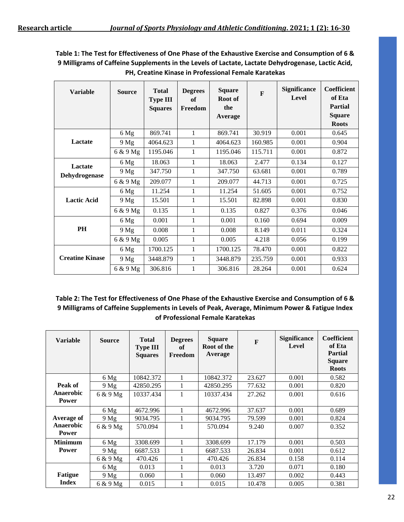**Table 1: The Test for Effectiveness of One Phase of the Exhaustive Exercise and Consumption of 6 & 9 Milligrams of Caffeine Supplements in the Levels of Lactate, Lactate Dehydrogenase, Lactic Acid, PH, Creatine Kinase in Professional Female Karatekas**

| <b>Variable</b>          | <b>Source</b> | <b>Total</b><br><b>Type III</b><br><b>Squares</b> | <b>Degrees</b><br>of<br>Freedom | <b>Square</b><br>Root of<br>the<br>Average | $\mathbf{F}$ | <b>Significance</b><br>Level | Coefficient<br>of Eta<br><b>Partial</b><br><b>Square</b><br><b>Roots</b> |
|--------------------------|---------------|---------------------------------------------------|---------------------------------|--------------------------------------------|--------------|------------------------------|--------------------------------------------------------------------------|
| Lactate                  | 6 Mg          | 869.741                                           | $\mathbf{1}$                    | 869.741                                    | 30.919       | 0.001                        | 0.645                                                                    |
|                          | 9 Mg          | 4064.623                                          | 1                               | 4064.623                                   | 160.985      | 0.001                        | 0.904                                                                    |
|                          | 6 & 9 Mg      | 1195.046                                          | 1                               | 1195.046                                   | 115.711      | 0.001                        | 0.872                                                                    |
| Lactate<br>Dehydrogenase | 6 Mg          | 18.063                                            | 1                               | 18.063                                     | 2.477        | 0.134                        | 0.127                                                                    |
|                          | 9 Mg          | 347.750                                           | 1                               | 347.750                                    | 63.681       | 0.001                        | 0.789                                                                    |
|                          | 6 & 9 Mg      | 209.077                                           | 1                               | 209.077                                    | 44.713       | 0.001                        | 0.725                                                                    |
| <b>Lactic Acid</b>       | 6 Mg          | 11.254                                            | 1                               | 11.254                                     | 51.605       | 0.001                        | 0.752                                                                    |
|                          | 9 Mg          | 15.501                                            | 1                               | 15.501                                     | 82.898       | 0.001                        | 0.830                                                                    |
|                          | 6 & 9 Mg      | 0.135                                             | 1                               | 0.135                                      | 0.827        | 0.376                        | 0.046                                                                    |
| PH                       | 6 Mg          | 0.001                                             | 1                               | 0.001                                      | 0.160        | 0.694                        | 0.009                                                                    |
|                          | 9 Mg          | 0.008                                             | $\mathbf{1}$                    | 0.008                                      | 8.149        | 0.011                        | 0.324                                                                    |
|                          | $6 & 9$ Mg    | 0.005                                             | 1                               | 0.005                                      | 4.218        | 0.056                        | 0.199                                                                    |
| <b>Creatine Kinase</b>   | 6 Mg          | 1700.125                                          | 1                               | 1700.125                                   | 78.470       | 0.001                        | 0.822                                                                    |
|                          | 9 Mg          | 3448.879                                          | 1                               | 3448.879                                   | 235.759      | 0.001                        | 0.933                                                                    |
|                          | 6 & 9 Mg      | 306.816                                           | 1                               | 306.816                                    | 28.264       | 0.001                        | 0.624                                                                    |

**Table 2: The Test for Effectiveness of One Phase of the Exhaustive Exercise and Consumption of 6 & 9 Milligrams of Caffeine Supplements in Levels of Peak, Average, Minimum Power & Fatigue Index of Professional Female Karatekas**

| <b>Variable</b>           | <b>Source</b> | <b>Total</b><br><b>Type III</b><br><b>Squares</b> | <b>Degrees</b><br>of<br>Freedom | <b>Square</b><br>Root of the<br>Average | $\mathbf{F}$ | <b>Significance</b><br>Level | Coefficient<br>of Eta<br><b>Partial</b><br><b>Square</b><br><b>Roots</b> |
|---------------------------|---------------|---------------------------------------------------|---------------------------------|-----------------------------------------|--------------|------------------------------|--------------------------------------------------------------------------|
|                           | 6 Mg          | 10842.372                                         | 1                               | 10842.372                               | 23.627       | 0.001                        | 0.582                                                                    |
| Peak of                   | 9 Mg          | 42850.295                                         | 1                               | 42850.295                               | 77.632       | 0.001                        | 0.820                                                                    |
| Anaerobic<br><b>Power</b> | $6 & 9$ Mg    | 10337.434                                         | 1                               | 10337.434                               | 27.262       | 0.001                        | 0.616                                                                    |
|                           | 6 Mg          | 4672.996                                          | 1                               | 4672.996                                | 37.637       | 0.001                        | 0.689                                                                    |
| <b>Average of</b>         | 9 Mg          | 9034.795                                          | 1                               | 9034.795                                | 79.599       | 0.001                        | 0.824                                                                    |
| Anaerobic<br><b>Power</b> | $6 & 9$ Mg    | 570.094                                           | 1                               | 570.094                                 | 9.240        | 0.007                        | 0.352                                                                    |
|                           |               |                                                   |                                 |                                         |              |                              |                                                                          |
| <b>Minimum</b>            | 6 Mg          | 3308.699                                          | 1                               | 3308.699                                | 17.179       | 0.001                        | 0.503                                                                    |
| <b>Power</b>              | 9 Mg          | 6687.533                                          | 1                               | 6687.533                                | 26.834       | 0.001                        | 0.612                                                                    |
|                           | 6 & 9 Mg      | 470.426                                           | 1                               | 470.426                                 | 26.834       | 0.158                        | 0.114                                                                    |
|                           | 6 Mg          | 0.013                                             | 1                               | 0.013                                   | 3.720        | 0.071                        | 0.180                                                                    |
| <b>Fatigue</b>            | 9 Mg          | 0.060                                             | 1                               | 0.060                                   | 13.497       | 0.002                        | 0.443                                                                    |
| <b>Index</b>              | 6 & 9 Mg      | 0.015                                             |                                 | 0.015                                   | 10.478       | 0.005                        | 0.381                                                                    |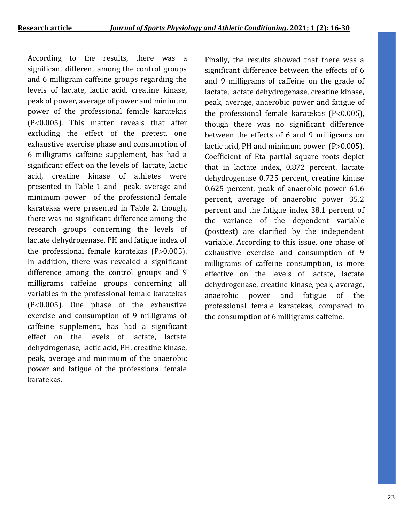According to the results, there was a significant different among the control groups and 6 milligram caffeine groups regarding the levels of lactate, lactic acid, creatine kinase, peak of power, average of power and minimum power of the professional female karatekas  $(P<0.005)$ . This matter reveals that after excluding the effect of the pretest, one exhaustive exercise phase and consumption of 6 milligrams caffeine supplement, has had a significant effect on the levels of lactate, lactic acid, creatine kinase of athletes were presented in Table 1 and peak, average and minimum power of the professional female karatekas were presented in Table 2. though, there was no significant difference among the research groups concerning the levels of lactate dehydrogenase, PH and fatigue index of the professional female karatekas  $(P>0.005)$ . In addition, there was revealed a significant difference among the control groups and 9 milligrams caffeine groups concerning all variables in the professional female karatekas  $(P<0.005)$ . One phase of the exhaustive exercise and consumption of 9 milligrams of caffeine supplement, has had a significant effect on the levels of lactate, lactate dehydrogenase, lactic acid, PH, creatine kinase, peak, average and minimum of the anaerobic power and fatigue of the professional female karatekas.

Finally, the results showed that there was a significant difference between the effects of 6 and 9 milligrams of caffeine on the grade of lactate, lactate dehydrogenase, creatine kinase, peak, average, anaerobic power and fatigue of the professional female karatekas  $(P<0.005)$ , though there was no significant difference between the effects of 6 and 9 milligrams on lactic acid, PH and minimum power  $(P>0.005)$ . Coefficient of Eta partial square roots depict that in lactate index, 0.872 percent, lactate dehydrogenase 0.725 percent, creatine kinase 0.625 percent, peak of anaerobic power 61.6 percent, average of anaerobic power 35.2 percent and the fatigue index 38.1 percent of the variance of the dependent variable (posttest) are clarified by the independent variable. According to this issue, one phase of exhaustive exercise and consumption of 9 milligrams of caffeine consumption, is more effective on the levels of lactate, lactate dehydrogenase, creatine kinase, peak, average, anaerobic power and fatigue of the professional female karatekas, compared to the consumption of 6 milligrams caffeine.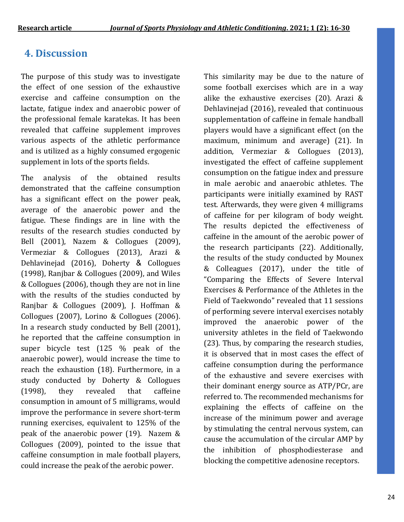# **4. Discussion**

The purpose of this study was to investigate the effect of one session of the exhaustive exercise and caffeine consumption on the lactate, fatigue index and anaerobic power of the professional female karatekas. It has been revealed that caffeine supplement improves various aspects of the athletic performance and is utilized as a highly consumed ergogenic supplement in lots of the sports fields.

The analysis of the obtained results demonstrated that the caffeine consumption has a significant effect on the power peak, average of the anaerobic power and the fatigue. These findings are in line with the results of the research studies conducted by Bell (2001), Nazem & Collogues (2009), Vermeziar & Collogues (2013), Arazi & Dehlavinejad (2016), Doherty & Collogues (1998), Ranjbar & Collogues (2009), and Wiles & Collogues (2006), though they are not in line with the results of the studies conducted by Ranjbar & Collogues (2009), J. Hoffman & Collogues (2007), Lorino & Collogues (2006). In a research study conducted by Bell (2001), he reported that the caffeine consumption in super bicycle test (125 % peak of the anaerobic power), would increase the time to reach the exhaustion (18). Furthermore, in a study conducted by Doherty & Collogues (1998), they revealed that caffeine consumption in amount of 5 milligrams, would improve the performance in severe short-term running exercises, equivalent to 125% of the peak of the anaerobic power (19). Nazem & Collogues (2009), pointed to the issue that caffeine consumption in male football players, could increase the peak of the aerobic power.

This similarity may be due to the nature of some football exercises which are in a way alike the exhaustive exercises (20). Arazi & Dehlavinejad (2016), revealed that continuous supplementation of caffeine in female handball players would have a significant effect (on the maximum, minimum and average) (21). In addition, Vermeziar & Collogues (2013), investigated the effect of caffeine supplement consumption on the fatigue index and pressure in male aerobic and anaerobic athletes. The participants were initially examined by RAST test. Afterwards, they were given 4 milligrams of caffeine for per kilogram of body weight. The results depicted the effectiveness of caffeine in the amount of the aerobic power of the research participants (22). Additionally, the results of the study conducted by Mounex & Colleagues (2017), under the title of "Comparing the Effects of Severe Interval Exercises & Performance of the Athletes in the Field of Taekwondo" revealed that 11 sessions of performing severe interval exercises notably improved the anaerobic power of the university athletes in the field of Taekwondo (23). Thus, by comparing the research studies, it is observed that in most cases the effect of caffeine consumption during the performance of the exhaustive and severe exercises with their dominant energy source as ATP/PCr, are referred to. The recommended mechanisms for explaining the effects of caffeine on the increase of the minimum power and average by stimulating the central nervous system, can cause the accumulation of the circular AMP by the inhibition of phosphodiesterase and blocking the competitive adenosine receptors.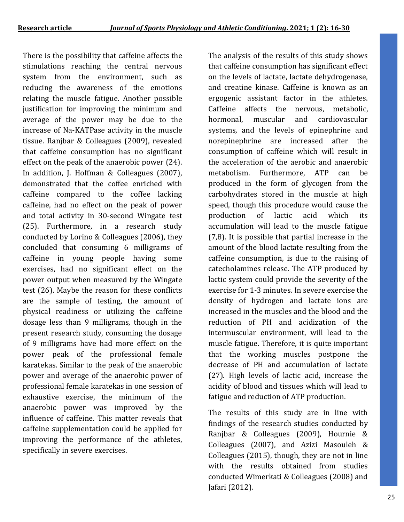There is the possibility that caffeine affects the stimulations reaching the central nervous system from the environment, such as reducing the awareness of the emotions relating the muscle fatigue. Another possible justification for improving the minimum and average of the power may be due to the increase of Na-KATPase activity in the muscle tissue. Ranjbar & Colleagues (2009), revealed that caffeine consumption has no significant effect on the peak of the anaerobic power (24). In addition, J. Hoffman & Colleagues (2007), demonstrated that the coffee enriched with caffeine compared to the coffee lacking caffeine, had no effect on the peak of power and total activity in 30-second Wingate test (25). Furthermore, in a research study conducted by Lorino & Colleagues (2006), they concluded that consuming 6 milligrams of caffeine in young people having some exercises, had no significant effect on the power output when measured by the Wingate test (26). Maybe the reason for these conflicts are the sample of testing, the amount of physical readiness or utilizing the caffeine dosage less than 9 milligrams, though in the present research study, consuming the dosage of 9 milligrams have had more effect on the power peak of the professional female karatekas. Similar to the peak of the anaerobic power and average of the anaerobic power of professional female karatekas in one session of exhaustive exercise, the minimum of the anaerobic power was improved by the influence of caffeine. This matter reveals that caffeine supplementation could be applied for improving the performance of the athletes, specifically in severe exercises.

The analysis of the results of this study shows that caffeine consumption has significant effect on the levels of lactate, lactate dehydrogenase, and creatine kinase. Caffeine is known as an ergogenic assistant factor in the athletes. Caffeine affects the nervous, metabolic, hormonal, muscular and cardiovascular systems, and the levels of epinephrine and norepinephrine are increased after the consumption of caffeine which will result in the acceleration of the aerobic and anaerobic metabolism. Furthermore, ATP can be produced in the form of glycogen from the carbohydrates stored in the muscle at high speed, though this procedure would cause the production of lactic acid which its accumulation will lead to the muscle fatigue (7,8). It is possible that partial increase in the amount of the blood lactate resulting from the caffeine consumption, is due to the raising of catecholamines release. The ATP produced by lactic system could provide the severity of the exercise for 1-3 minutes. In severe exercise the density of hydrogen and lactate ions are increased in the muscles and the blood and the reduction of PH and acidization of the intermuscular environment, will lead to the muscle fatigue. Therefore, it is quite important that the working muscles postpone the decrease of PH and accumulation of lactate (27). High levels of lactic acid, increase the acidity of blood and tissues which will lead to fatigue and reduction of ATP production.

The results of this study are in line with findings of the research studies conducted by Ranjbar & Colleagues (2009), Hournie & Colleagues (2007), and Azizi Masouleh & Colleagues (2015), though, they are not in line with the results obtained from studies conducted Wimerkati & Colleagues (2008) and Jafari (2012).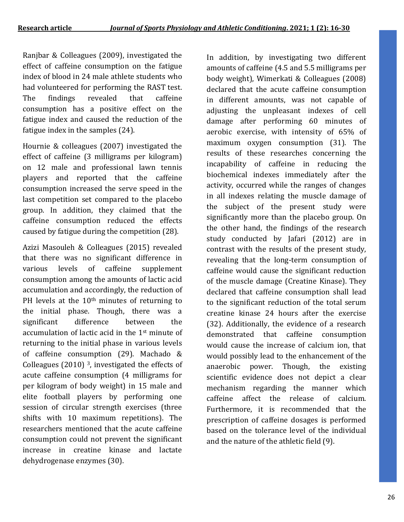Ranjbar & Colleagues (2009), investigated the effect of caffeine consumption on the fatigue index of blood in 24 male athlete students who had volunteered for performing the RAST test. The findings revealed that caffeine consumption has a positive effect on the fatigue index and caused the reduction of the fatigue index in the samples (24).

Hournie & colleagues (2007) investigated the effect of caffeine (3 milligrams per kilogram) on 12 male and professional lawn tennis players and reported that the caffeine consumption increased the serve speed in the last competition set compared to the placebo group. In addition, they claimed that the caffeine consumption reduced the effects caused by fatigue during the competition (28).

Azizi Masouleh & Colleagues (2015) revealed that there was no significant difference in various levels of caffeine supplement consumption among the amounts of lactic acid accumulation and accordingly, the reduction of PH levels at the 10<sup>th</sup> minutes of returning to the initial phase. Though, there was a significant difference between the accumulation of lactic acid in the 1st minute of returning to the initial phase in various levels of caffeine consumption (29). Machado & Colleagues (2010) 3, investigated the effects of acute caffeine consumption (4 milligrams for per kilogram of body weight) in 15 male and elite football players by performing one session of circular strength exercises (three shifts with 10 maximum repetitions). The researchers mentioned that the acute caffeine consumption could not prevent the significant increase in creatine kinase and lactate dehydrogenase enzymes (30).

In addition, by investigating two different amounts of caffeine (4.5 and 5.5 milligrams per body weight), Wimerkati & Colleagues (2008) declared that the acute caffeine consumption in different amounts, was not capable of adjusting the unpleasant indexes of cell damage after performing 60 minutes of aerobic exercise, with intensity of 65% of maximum oxygen consumption (31). The results of these researches concerning the incapability of caffeine in reducing the biochemical indexes immediately after the activity, occurred while the ranges of changes in all indexes relating the muscle damage of the subject of the present study were significantly more than the placebo group. On the other hand, the findings of the research study conducted by Jafari (2012) are in contrast with the results of the present study, revealing that the long-term consumption of caffeine would cause the significant reduction of the muscle damage (Creatine Kinase). They declared that caffeine consumption shall lead to the significant reduction of the total serum creatine kinase 24 hours after the exercise (32). Additionally, the evidence of a research demonstrated that caffeine consumption would cause the increase of calcium ion, that would possibly lead to the enhancement of the anaerobic power. Though, the existing scientific evidence does not depict a clear mechanism regarding the manner which caffeine affect the release of calcium. Furthermore, it is recommended that the prescription of caffeine dosages is performed based on the tolerance level of the individual and the nature of the athletic field (9).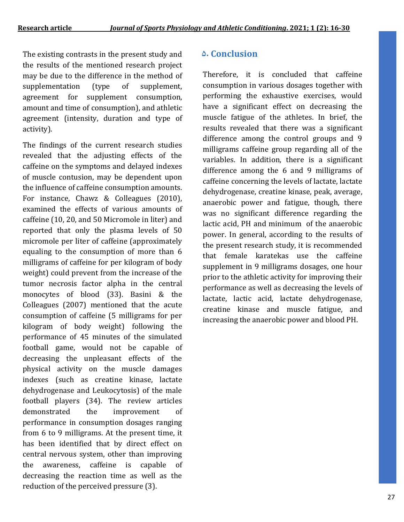The existing contrasts in the present study and **5. Conclusion**  the results of the mentioned research project may be due to the difference in the method of supplementation (type of supplement, agreement for supplement consumption, amount and time of consumption), and athletic agreement (intensity, duration and type of activity).

The findings of the current research studies revealed that the adjusting effects of the caffeine on the symptoms and delayed indexes of muscle contusion, may be dependent upon the influence of caffeine consumption amounts. For instance, Chawz & Colleagues (2010), examined the effects of various amounts of caffeine (10, 20, and 50 Micromole in liter) and reported that only the plasma levels of 50 micromole per liter of caffeine (approximately equaling to the consumption of more than 6 milligrams of caffeine for per kilogram of body weight) could prevent from the increase of the tumor necrosis factor alpha in the central monocytes of blood (33). Basini & the Colleagues (2007) mentioned that the acute consumption of caffeine (5 milligrams for per kilogram of body weight) following the performance of 45 minutes of the simulated football game, would not be capable of decreasing the unpleasant effects of the physical activity on the muscle damages indexes (such as creatine kinase, lactate dehydrogenase and Leukocytosis) of the male football players (34). The review articles demonstrated the improvement of performance in consumption dosages ranging from 6 to 9 milligrams. At the present time, it has been identified that by direct effect on central nervous system, other than improving the awareness, caffeine is capable of decreasing the reaction time as well as the reduction of the perceived pressure (3).

Therefore, it is concluded that caffeine consumption in various dosages together with performing the exhaustive exercises, would have a significant effect on decreasing the muscle fatigue of the athletes. In brief, the results revealed that there was a significant difference among the control groups and 9 milligrams caffeine group regarding all of the variables. In addition, there is a significant difference among the 6 and 9 milligrams of caffeine concerning the levels of lactate, lactate dehydrogenase, creatine kinase, peak, average, anaerobic power and fatigue, though, there was no significant difference regarding the lactic acid, PH and minimum of the anaerobic power. In general, according to the results of the present research study, it is recommended that female karatekas use the caffeine supplement in 9 milligrams dosages, one hour prior to the athletic activity for improving their performance as well as decreasing the levels of lactate, lactic acid, lactate dehydrogenase, creatine kinase and muscle fatigue, and increasing the anaerobic power and blood PH.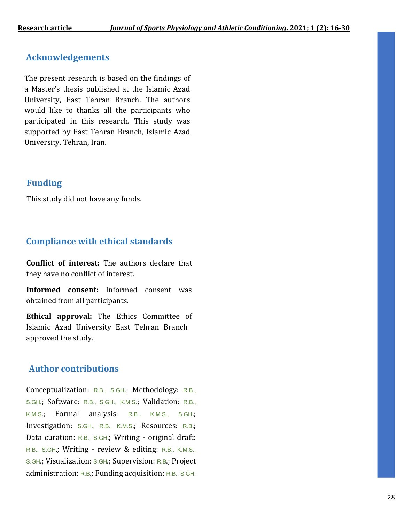### **Acknowledgements**

The present research is based on the findings of a Master's thesis published at the Islamic Azad University, East Tehran Branch. The authors would like to thanks all the participants who participated in this research. This study was supported by East Tehran Branch, Islamic Azad University, Tehran, Iran.

## **Funding**

This study did not have any funds.

## **Compliance with ethical standards**

**Conflict of interest:** The authors declare that they have no conflict of interest.

**Informed consent:** Informed consent was obtained from all participants.

**Ethical approval:** The Ethics Committee of Islamic Azad University East Tehran Branch approved the study.

## **Author contributions**

Conceptualization: R.B., S.GH.; Methodology: R.B., S.GH.; Software: R.B., S.GH., K.M.S.; Validation: R.B., K.M.S.; Formal analysis: R.B., K.M.S., S.GH.; Investigation: S.GH., R.B., K.M.S.; Resources: R.B.; Data curation: R.B., S.GH.; Writing - original draft: R.B., S.GH.; Writing - review & editing: R.B., K.M.S., S.GH.; Visualization: S.GH.; Supervision: R.B.; Project administration: R.B.; Funding acquisition: R.B., S.GH.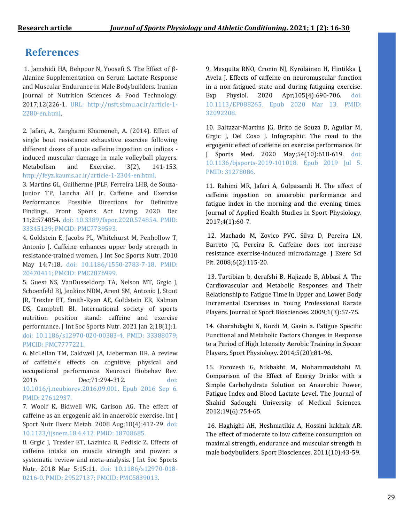# **References**

1. Jamshidi HA, Behpoor N, Yoosefi S. The Effect of β-Alanine Supplementation on Serum Lactate Response and Muscular Endurance in Male Bodybuilders. Iranian Journal of Nutrition Sciences & Food Technology. 2017;12(226-1. URL: http://nsft.sbmu.ac.ir/article-1- 2280-en.html.

2. Jafari, A., Zarghami Khameneh, A. (2014). Effect of single bout resistance exhaustive exercise following different doses of acute caffeine ingestion on indices induced muscular damage in male volleyball players. Metabolism and Exercise. 3(2), 141-153. [http://feyz.kaums.ac.ir/article-1-2304-en.html,](http://feyz.kaums.ac.ir/article-1-2304-en.html)

3. Martins GL, Guilherme JPLF, Ferreira LHB, de Souza-Junior TP, Lancha AH Jr. Caffeine and Exercise Performance: Possible Directions for Definitive Findings. Front Sports Act Living. 2020 Dec 11;2:574854. doi: 10.3389/fspor.2020.574854. PMID: 33345139; PMCID: PMC7739593.

4. Goldstein E, Jacobs PL, Whitehurst M, Penhollow T, Antonio J. Caffeine enhances upper body strength in resistance-trained women. J Int Soc Sports Nutr. 2010 May 14;7:18. doi: 10.1186/1550-2783-7-18. PMID: 20470411; PMCID: PMC2876999.

5. Guest NS, VanDusseldorp TA, Nelson MT, Grgic J, Schoenfeld BJ, Jenkins NDM, Arent SM, Antonio J, Stout JR, Trexler ET, Smith-Ryan AE, Goldstein ER, Kalman DS, Campbell BI. International society of sports nutrition position stand: caffeine and exercise performance. J Int Soc Sports Nutr. 2021 Jan 2;18(1):1. doi: 10.1186/s12970-020-00383-4. PMID: 33388079; PMCID: PMC7777221.

6. McLellan TM, Caldwell JA, Lieberman HR. A review of caffeine's effects on cognitive, physical and occupational performance. Neurosci Biobehav Rev. 2016 Dec;71:294-312. doi: 10.1016/j.neubiorev.2016.09.001. Epub 2016 Sep 6. PMID: 27612937.

7. Woolf K, Bidwell WK, Carlson AG. The effect of caffeine as an ergogenic aid in anaerobic exercise. Int J Sport Nutr Exerc Metab. 2008 Aug;18(4):412-29. doi: 10.1123/ijsnem.18.4.412. PMID: 18708685.

8. Grgic J, Trexler ET, Lazinica B, Pedisic Z. Effects of caffeine intake on muscle strength and power: a systematic review and meta-analysis. J Int Soc Sports Nutr. 2018 Mar 5;15:11. doi: 10.1186/s12970-018- 0216-0. PMID: 29527137; PMCID: PMC5839013.

9. Mesquita RNO, Cronin NJ, Kyröläinen H, Hintikka J, Avela J. Effects of caffeine on neuromuscular function in a non-fatigued state and during fatiguing exercise. Exp Physiol. 2020 Apr;105(4):690-706. doi: 10.1113/EP088265. Epub 2020 Mar 13. PMID: 32092208.

10. Baltazar-Martins JG, Brito de Souza D, Aguilar M, Grgic J, Del Coso J. Infographic. The road to the ergogenic effect of caffeine on exercise performance. Br J Sports Med. 2020 May;54(10):618-619. doi: 10.1136/bjsports-2019-101018. Epub 2019 Jul 5. PMID: 31278086.

11. Rahimi MR, Jafari A, Golpasandi H. The effect of caffeine ingestion on anaerobic performance and fatigue index in the morning and the evening times. Journal of Applied Health Studies in Sport Physiology. 2017;4(1):60-7.

12. Machado M, Zovico PVC, Silva D, Pereira LN, Barreto JG, Pereira R. Caffeine does not increase resistance exercise-induced microdamage. J Exerc Sci Fit. 2008;6(2):115-20.

13. Tartibian b, derafshi B, Hajizade B, Abbasi A. The Cardiovascular and Metabolic Responses and Their Relationship to Fatigue Time in Upper and Lower Body Incremental Exercises in Young Professional Karate Players. Journal of Sport Biosciences. 2009;1(3):57-75.

14. Gharahdaghi N, Kordi M, Gaein a. Fatigue Specific Functional and Metabolic Factors Changes in Response to a Period of High Intensity Aerobic Training in Soccer Players. Sport Physiology. 2014;5(20):81-96.

15. Forozesh G, Nikbakht M, Mohammadshahi M. Comparison of the Effect of Energy Drinks with a Simple Carbohydrate Solution on Anaerobic Power, Fatigue Index and Blood Lactate Level. The Journal of Shahid Sadoughi University of Medical Sciences. 2012;19(6):754-65.

16. Haghighi AH, Heshmatikia A, Hossini kakhak AR. The effect of moderate to low caffeine consumption on maximal strength, endurance and muscular strength in male bodybuilders. Sport Biosciences. 2011(10):43-59.